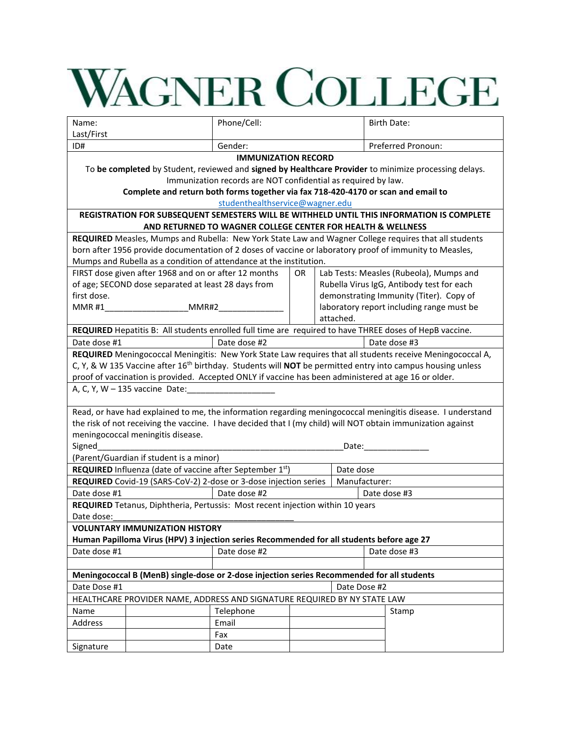# **WAGNER COLLEGE**

| Name:                                                                                                                                  |                                                                                                      | Phone/Cell:                                                   |           |              |                            |  | <b>Birth Date:</b>                                                                                                                                                                                                             |
|----------------------------------------------------------------------------------------------------------------------------------------|------------------------------------------------------------------------------------------------------|---------------------------------------------------------------|-----------|--------------|----------------------------|--|--------------------------------------------------------------------------------------------------------------------------------------------------------------------------------------------------------------------------------|
| Last/First                                                                                                                             |                                                                                                      |                                                               |           |              |                            |  |                                                                                                                                                                                                                                |
| ID#                                                                                                                                    |                                                                                                      | Gender:                                                       |           |              |                            |  | Preferred Pronoun:                                                                                                                                                                                                             |
|                                                                                                                                        |                                                                                                      | <b>IMMUNIZATION RECORD</b>                                    |           |              |                            |  |                                                                                                                                                                                                                                |
|                                                                                                                                        |                                                                                                      |                                                               |           |              |                            |  | To be completed by Student, reviewed and signed by Healthcare Provider to minimize processing delays.                                                                                                                          |
|                                                                                                                                        |                                                                                                      | Immunization records are NOT confidential as required by law. |           |              |                            |  |                                                                                                                                                                                                                                |
|                                                                                                                                        | Complete and return both forms together via fax 718-420-4170 or scan and email to                    |                                                               |           |              |                            |  |                                                                                                                                                                                                                                |
|                                                                                                                                        |                                                                                                      | studenthealthservice@wagner.edu                               |           |              |                            |  |                                                                                                                                                                                                                                |
|                                                                                                                                        |                                                                                                      | AND RETURNED TO WAGNER COLLEGE CENTER FOR HEALTH & WELLNESS   |           |              |                            |  | REGISTRATION FOR SUBSEQUENT SEMESTERS WILL BE WITHHELD UNTIL THIS INFORMATION IS COMPLETE                                                                                                                                      |
|                                                                                                                                        |                                                                                                      |                                                               |           |              |                            |  | REQUIRED Measles, Mumps and Rubella: New York State Law and Wagner College requires that all students                                                                                                                          |
|                                                                                                                                        |                                                                                                      |                                                               |           |              |                            |  | born after 1956 provide documentation of 2 doses of vaccine or laboratory proof of immunity to Measles,                                                                                                                        |
|                                                                                                                                        | Mumps and Rubella as a condition of attendance at the institution.                                   |                                                               |           |              |                            |  |                                                                                                                                                                                                                                |
|                                                                                                                                        | FIRST dose given after 1968 and on or after 12 months                                                |                                                               | <b>OR</b> |              |                            |  | Lab Tests: Measles (Rubeola), Mumps and                                                                                                                                                                                        |
|                                                                                                                                        | of age; SECOND dose separated at least 28 days from                                                  |                                                               |           |              |                            |  | Rubella Virus IgG, Antibody test for each                                                                                                                                                                                      |
| first dose.                                                                                                                            |                                                                                                      |                                                               |           |              |                            |  | demonstrating Immunity (Titer). Copy of                                                                                                                                                                                        |
| <b>MMR#1</b>                                                                                                                           | MMR#2                                                                                                |                                                               |           |              |                            |  | laboratory report including range must be                                                                                                                                                                                      |
|                                                                                                                                        |                                                                                                      |                                                               |           |              | attached.                  |  |                                                                                                                                                                                                                                |
|                                                                                                                                        |                                                                                                      |                                                               |           |              |                            |  | REQUIRED Hepatitis B: All students enrolled full time are required to have THREE doses of HepB vaccine.                                                                                                                        |
| Date dose #1                                                                                                                           |                                                                                                      | Date dose #2                                                  |           |              |                            |  | Date dose #3                                                                                                                                                                                                                   |
|                                                                                                                                        |                                                                                                      |                                                               |           |              |                            |  | REQUIRED Meningococcal Meningitis: New York State Law requires that all students receive Meningococcal A,                                                                                                                      |
|                                                                                                                                        |                                                                                                      |                                                               |           |              |                            |  | C, Y, & W 135 Vaccine after 16 <sup>th</sup> birthday. Students will <b>NOT</b> be permitted entry into campus housing unless                                                                                                  |
|                                                                                                                                        | proof of vaccination is provided. Accepted ONLY if vaccine has been administered at age 16 or older. |                                                               |           |              |                            |  |                                                                                                                                                                                                                                |
|                                                                                                                                        | A, C, Y, W - 135 vaccine Date:                                                                       |                                                               |           |              |                            |  |                                                                                                                                                                                                                                |
|                                                                                                                                        |                                                                                                      |                                                               |           |              |                            |  |                                                                                                                                                                                                                                |
|                                                                                                                                        |                                                                                                      |                                                               |           |              |                            |  | Read, or have had explained to me, the information regarding meningococcal meningitis disease. I understand                                                                                                                    |
|                                                                                                                                        |                                                                                                      |                                                               |           |              |                            |  | the risk of not receiving the vaccine. I have decided that I (my child) will NOT obtain immunization against                                                                                                                   |
|                                                                                                                                        | meningococcal meningitis disease.                                                                    |                                                               |           |              |                            |  |                                                                                                                                                                                                                                |
| Signed                                                                                                                                 |                                                                                                      |                                                               |           |              |                            |  | Date: the contract of the contract of the contract of the contract of the contract of the contract of the contract of the contract of the contract of the contract of the contract of the contract of the contract of the cont |
| (Parent/Guardian if student is a minor)                                                                                                |                                                                                                      |                                                               |           |              |                            |  |                                                                                                                                                                                                                                |
| <b>REQUIRED</b> Influenza (date of vaccine after September $1st$ )<br>REQUIRED Covid-19 (SARS-CoV-2) 2-dose or 3-dose injection series |                                                                                                      |                                                               |           |              | Date dose<br>Manufacturer: |  |                                                                                                                                                                                                                                |
|                                                                                                                                        |                                                                                                      |                                                               |           |              |                            |  |                                                                                                                                                                                                                                |
|                                                                                                                                        | Date dose #1<br>Date dose #2<br>Date dose #3                                                         |                                                               |           |              |                            |  |                                                                                                                                                                                                                                |
| REQUIRED Tetanus, Diphtheria, Pertussis: Most recent injection within 10 years                                                         |                                                                                                      |                                                               |           |              |                            |  |                                                                                                                                                                                                                                |
| Date dose:                                                                                                                             |                                                                                                      |                                                               |           |              |                            |  |                                                                                                                                                                                                                                |
|                                                                                                                                        | <b>VOLUNTARY IMMUNIZATION HISTORY</b>                                                                |                                                               |           |              |                            |  |                                                                                                                                                                                                                                |
| Human Papilloma Virus (HPV) 3 injection series Recommended for all students before age 27                                              |                                                                                                      |                                                               |           |              |                            |  |                                                                                                                                                                                                                                |
| Date dose #1                                                                                                                           |                                                                                                      | Date dose #2                                                  |           | Date dose #3 |                            |  |                                                                                                                                                                                                                                |
|                                                                                                                                        |                                                                                                      |                                                               |           |              |                            |  |                                                                                                                                                                                                                                |
| Meningococcal B (MenB) single-dose or 2-dose injection series Recommended for all students                                             |                                                                                                      |                                                               |           |              |                            |  |                                                                                                                                                                                                                                |
| Date Dose #1<br>Date Dose #2                                                                                                           |                                                                                                      |                                                               |           |              |                            |  |                                                                                                                                                                                                                                |
| HEALTHCARE PROVIDER NAME, ADDRESS AND SIGNATURE REQUIRED BY NY STATE LAW                                                               |                                                                                                      |                                                               |           |              |                            |  |                                                                                                                                                                                                                                |
| Name                                                                                                                                   |                                                                                                      | Telephone                                                     |           |              |                            |  | Stamp                                                                                                                                                                                                                          |
| Address                                                                                                                                |                                                                                                      | Email                                                         |           |              |                            |  |                                                                                                                                                                                                                                |
|                                                                                                                                        |                                                                                                      | Fax                                                           |           |              |                            |  |                                                                                                                                                                                                                                |
| Signature                                                                                                                              |                                                                                                      | Date                                                          |           |              |                            |  |                                                                                                                                                                                                                                |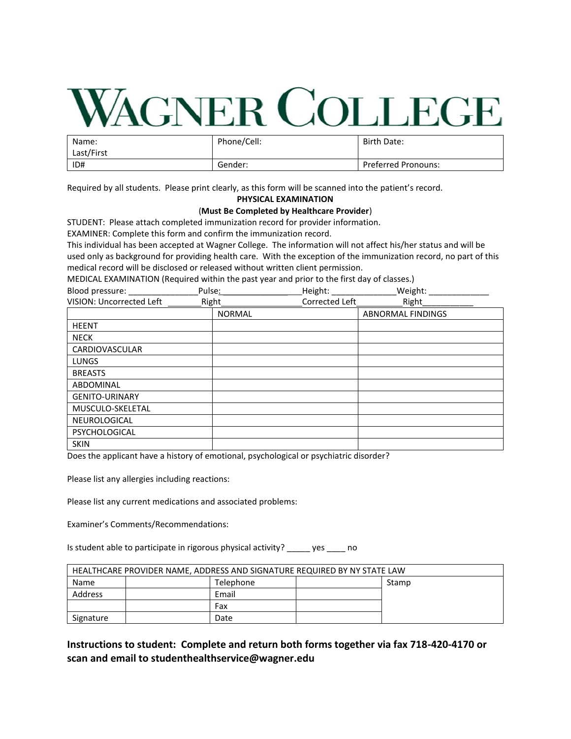# **WAGNER COLLEGE**

| Name:<br>Last/First | Phone/Cell: | Birth Date:                |
|---------------------|-------------|----------------------------|
| ID#                 | Gender:     | <b>Preferred Pronouns:</b> |

Required by all students. Please print clearly, as this form will be scanned into the patient's record.

# **PHYSICAL EXAMINATION**

#### (**Must Be Completed by Healthcare Provider**)

STUDENT: Please attach completed immunization record for provider information.

EXAMINER: Complete this form and confirm the immunization record.

This individual has been accepted at Wagner College. The information will not affect his/her status and will be used only as background for providing health care. With the exception of the immunization record, no part of this medical record will be disclosed or released without written client permission.

MEDICAL EXAMINATION (Required within the past year and prior to the first day of classes.)<br>Blood pressure: Rules: Rules: Rules: Rules: Rules: Meight: Weight

| Blood pressure: ___      | Pulse:        | Height:        | Weight:                  |  |
|--------------------------|---------------|----------------|--------------------------|--|
| VISION: Uncorrected Left | Right         | Corrected Left | Right                    |  |
|                          | <b>NORMAL</b> |                | <b>ABNORMAL FINDINGS</b> |  |
| <b>HEENT</b>             |               |                |                          |  |
| <b>NECK</b>              |               |                |                          |  |
| CARDIOVASCULAR           |               |                |                          |  |
| <b>LUNGS</b>             |               |                |                          |  |
| <b>BREASTS</b>           |               |                |                          |  |
| ABDOMINAL                |               |                |                          |  |
| <b>GENITO-URINARY</b>    |               |                |                          |  |
| MUSCULO-SKELETAL         |               |                |                          |  |
| NEUROLOGICAL             |               |                |                          |  |
| PSYCHOLOGICAL            |               |                |                          |  |
| <b>SKIN</b>              |               |                |                          |  |

Does the applicant have a history of emotional, psychological or psychiatric disorder?

Please list any allergies including reactions:

Please list any current medications and associated problems:

Examiner's Comments/Recommendations:

Is student able to participate in rigorous physical activity? \_\_\_\_\_ yes \_\_\_\_ no

| HEALTHCARE PROVIDER NAME, ADDRESS AND SIGNATURE REQUIRED BY NY STATE LAW |  |           |  |       |
|--------------------------------------------------------------------------|--|-----------|--|-------|
| Name                                                                     |  | Telephone |  | Stamp |
| <b>Address</b>                                                           |  | Email     |  |       |
|                                                                          |  | Fax       |  |       |
| Signature                                                                |  | Date      |  |       |

**Instructions to student: Complete and return both forms together via fax 718-420-4170 or scan and email to studenthealthservice@wagner.edu**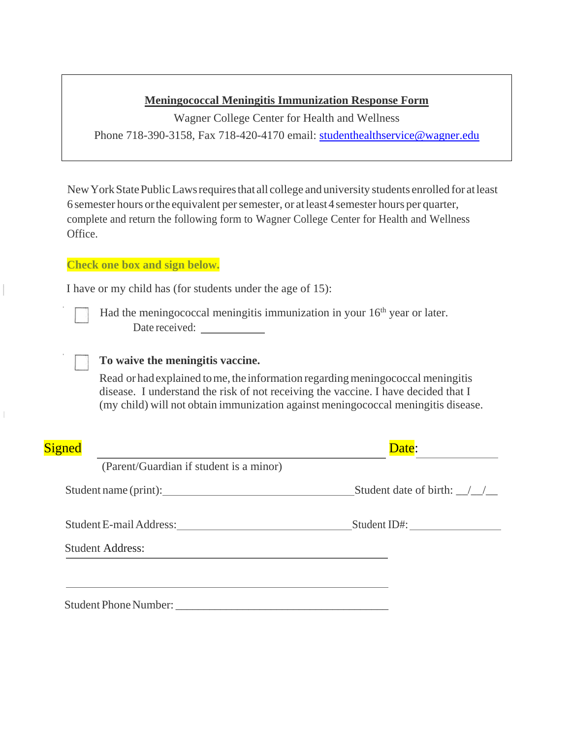# **Meningococcal Meningitis Immunization Response Form**

Wagner College Center for Health and Wellness Phone 718-390-3158, Fax 718-420-4170 email: [studenthealthservice@wagner.edu](mailto:studenthealthservice@wagner.edu)

NewYorkStatePublicLawsrequiresthat all college and university students enrolled for atleast 6 semester hours orthe equivalent persemester, or atleast4 semester hours per quarter, complete and return the following form to Wagner College Center for Health and Wellness Office.

## **Check one box and sign below.**

I have or my child has (for students under the age of 15):

Had the meningococcal meningitis immunization in your  $16<sup>th</sup>$  year or later. Date received:

## **To waive the meningitis vaccine.**

Read or had explained to me, the information regarding meningococcal meningitis disease. I understand the risk of not receiving the vaccine. I have decided that I (my child) will not obtain immunization against meningococcal meningitis disease.

| <b>Signed</b>                           | Date:                           |
|-----------------------------------------|---------------------------------|
| (Parent/Guardian if student is a minor) |                                 |
| Student name (print):                   | Student date of birth: $\angle$ |
|                                         |                                 |
| <b>Student Address:</b>                 |                                 |
|                                         |                                 |
| Student Phone Number:                   |                                 |